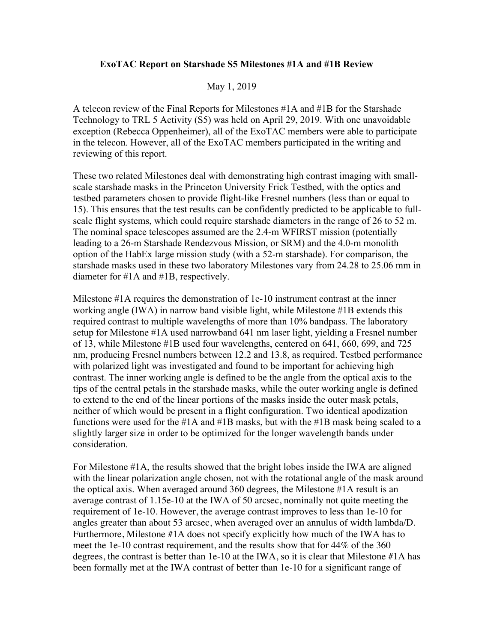## **ExoTAC Report on Starshade S5 Milestones #1A and #1B Review**

## May 1, 2019

A telecon review of the Final Reports for Milestones #1A and #1B for the Starshade Technology to TRL 5 Activity (S5) was held on April 29, 2019. With one unavoidable exception (Rebecca Oppenheimer), all of the ExoTAC members were able to participate in the telecon. However, all of the ExoTAC members participated in the writing and reviewing of this report.

These two related Milestones deal with demonstrating high contrast imaging with smallscale starshade masks in the Princeton University Frick Testbed, with the optics and testbed parameters chosen to provide flight-like Fresnel numbers (less than or equal to 15). This ensures that the test results can be confidently predicted to be applicable to fullscale flight systems, which could require starshade diameters in the range of 26 to 52 m. The nominal space telescopes assumed are the 2.4-m WFIRST mission (potentially leading to a 26-m Starshade Rendezvous Mission, or SRM) and the 4.0-m monolith option of the HabEx large mission study (with a 52-m starshade). For comparison, the starshade masks used in these two laboratory Milestones vary from 24.28 to 25.06 mm in diameter for #1A and #1B, respectively.

Milestone #1A requires the demonstration of 1e-10 instrument contrast at the inner working angle (IWA) in narrow band visible light, while Milestone #1B extends this required contrast to multiple wavelengths of more than 10% bandpass. The laboratory setup for Milestone #1A used narrowband 641 nm laser light, yielding a Fresnel number of 13, while Milestone #1B used four wavelengths, centered on 641, 660, 699, and 725 nm, producing Fresnel numbers between 12.2 and 13.8, as required. Testbed performance with polarized light was investigated and found to be important for achieving high contrast. The inner working angle is defined to be the angle from the optical axis to the tips of the central petals in the starshade masks, while the outer working angle is defined to extend to the end of the linear portions of the masks inside the outer mask petals, neither of which would be present in a flight configuration. Two identical apodization functions were used for the #1A and #1B masks, but with the #1B mask being scaled to a slightly larger size in order to be optimized for the longer wavelength bands under consideration.

For Milestone #1A, the results showed that the bright lobes inside the IWA are aligned with the linear polarization angle chosen, not with the rotational angle of the mask around the optical axis. When averaged around 360 degrees, the Milestone #1A result is an average contrast of 1.15e-10 at the IWA of 50 arcsec, nominally not quite meeting the requirement of 1e-10. However, the average contrast improves to less than 1e-10 for angles greater than about 53 arcsec, when averaged over an annulus of width lambda/D. Furthermore, Milestone #1A does not specify explicitly how much of the IWA has to meet the 1e-10 contrast requirement, and the results show that for 44% of the 360 degrees, the contrast is better than 1e-10 at the IWA, so it is clear that Milestone #1A has been formally met at the IWA contrast of better than 1e-10 for a significant range of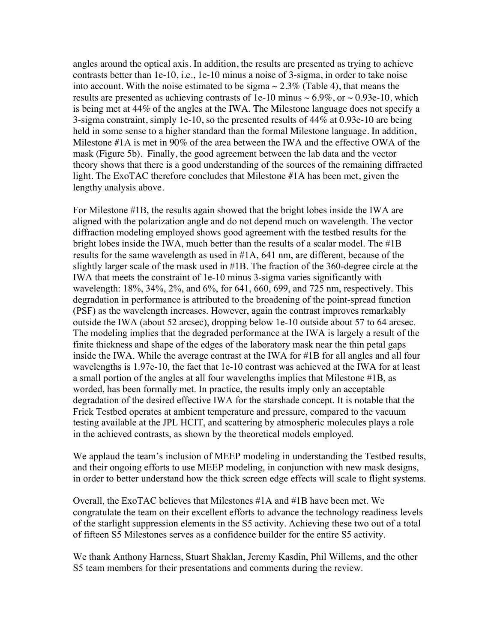angles around the optical axis. In addition, the results are presented as trying to achieve contrasts better than 1e-10, i.e., 1e-10 minus a noise of 3-sigma, in order to take noise into account. With the noise estimated to be sigma  $\sim 2.3\%$  (Table 4), that means the results are presented as achieving contrasts of 1e-10 minus  $\sim 6.9\%$ , or  $\sim 0.93e-10$ , which is being met at 44% of the angles at the IWA. The Milestone language does not specify a 3-sigma constraint, simply 1e-10, so the presented results of 44% at 0.93e-10 are being held in some sense to a higher standard than the formal Milestone language. In addition, Milestone #1A is met in 90% of the area between the IWA and the effective OWA of the mask (Figure 5b). Finally, the good agreement between the lab data and the vector theory shows that there is a good understanding of the sources of the remaining diffracted light. The ExoTAC therefore concludes that Milestone #1A has been met, given the lengthy analysis above.

For Milestone #1B, the results again showed that the bright lobes inside the IWA are aligned with the polarization angle and do not depend much on wavelength. The vector diffraction modeling employed shows good agreement with the testbed results for the bright lobes inside the IWA, much better than the results of a scalar model. The #1B results for the same wavelength as used in #1A, 641 nm, are different, because of the slightly larger scale of the mask used in #1B. The fraction of the 360-degree circle at the IWA that meets the constraint of 1e-10 minus 3-sigma varies significantly with wavelength: 18%, 34%, 2%, and 6%, for 641, 660, 699, and 725 nm, respectively. This degradation in performance is attributed to the broadening of the point-spread function (PSF) as the wavelength increases. However, again the contrast improves remarkably outside the IWA (about 52 arcsec), dropping below 1e-10 outside about 57 to 64 arcsec. The modeling implies that the degraded performance at the IWA is largely a result of the finite thickness and shape of the edges of the laboratory mask near the thin petal gaps inside the IWA. While the average contrast at the IWA for #1B for all angles and all four wavelengths is 1.97e-10, the fact that 1e-10 contrast was achieved at the IWA for at least a small portion of the angles at all four wavelengths implies that Milestone #1B, as worded, has been formally met. In practice, the results imply only an acceptable degradation of the desired effective IWA for the starshade concept. It is notable that the Frick Testbed operates at ambient temperature and pressure, compared to the vacuum testing available at the JPL HCIT, and scattering by atmospheric molecules plays a role in the achieved contrasts, as shown by the theoretical models employed.

We applaud the team's inclusion of MEEP modeling in understanding the Testbed results, and their ongoing efforts to use MEEP modeling, in conjunction with new mask designs, in order to better understand how the thick screen edge effects will scale to flight systems.

Overall, the ExoTAC believes that Milestones #1A and #1B have been met. We congratulate the team on their excellent efforts to advance the technology readiness levels of the starlight suppression elements in the S5 activity. Achieving these two out of a total of fifteen S5 Milestones serves as a confidence builder for the entire S5 activity.

We thank Anthony Harness, Stuart Shaklan, Jeremy Kasdin, Phil Willems, and the other S5 team members for their presentations and comments during the review.